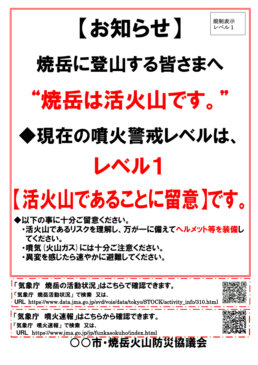

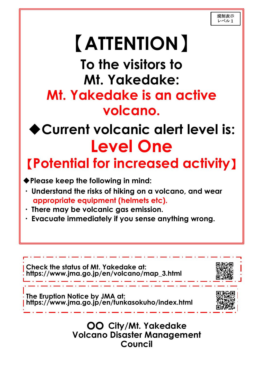#### 〇〇 **City/Mt. Yakedake Volcano Disaster Management Council**

## 【**ATTENTION**】 **To the visitors to Mt. Yakedake: Mt. Yakedake is an active volcano.**

## ◆**Current volcanic alert level is: Level One**

### 【**Potential for increased activity**】

◆**Please keep the following in mind:**



- ・ **Understand the risks of hiking on a volcano, and wear appropriate equipment (helmets etc).**
- ・ **There may be volcanic gas emission.**
- ・ **Evacuate immediately if you sense anything wrong.**

j

**Check the status of Mt. Yakedake at:**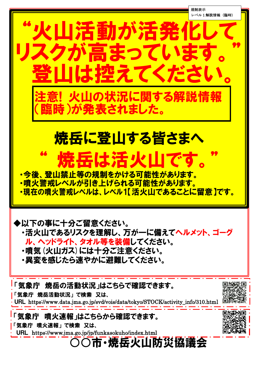

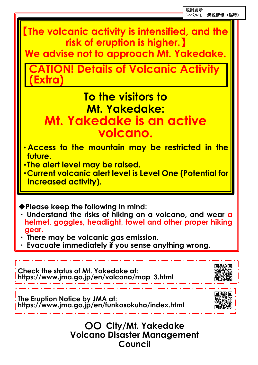◆**Please keep the following in mind:**

- ・ **Understand the risks of hiking on a volcano, and wear a helmet, goggles, headlight, towel and other proper hiking gear.**
- ・ **There may be volcanic gas emission.**
- ・ **Evacuate immediately if you sense anything wrong.**

#### 〇〇 **City/Mt. Yakedake Volcano Disaster Management Council**

【**The volcanic activity is intensified, and the risk of eruption is higher.**】

**We advise not to approach Mt. Yakedake.**

**CATION! Details of Volcanic Activity (Extra)**

### **To the visitors to Mt. Yakedake: Mt. Yakedake is an active volcano.**

- ・**Access to the mountain may be restricted in the future.**
- ・**The alert level may be raised.**
- ・**Current volcanic alert level is Level One (Potential for increased activity).**

**The Eruption Notice by JMA at: https://www.jma.go.jp/en/funkasokuho/index.html**



**Check the status of Mt. Yakedake at:** 



レベル1 解説情報(臨時)

l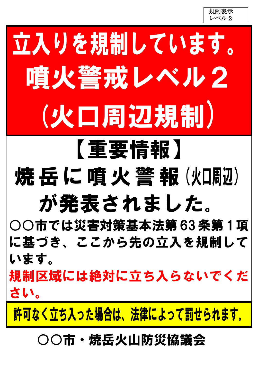規制表示 レベル2

# 立入りを規制しています。 噴火警戒レベル2 (火口周辺規制)

### 【重要情報】 焼岳に噴火警報(火回迎) が発表されました。

○○市では災害対策基本法第63条第1項 に基づき、ここから先の立入を規制して います。

規制区域には絶対に立ち入らないでくだ さい。

許可なく立ち入った場合は、法律によって罰せられます。

#### ○○市・焼岳火山防災協議会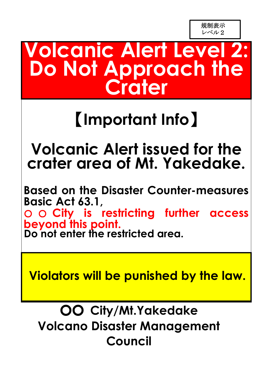### **Volcanic Alert Level 2: Do Not Approach the Crater**

### 【**Important Info**】

#### **Volcanic Alert issued for the crater area of Mt. Yakedake.**

**Based on the Disaster Counter-measures Basic Act 63.1,**  ○ ○ **City is restricting further access beyond this point. Do not enter the restricted area.**

**Violators will be punished by the law.**

#### 〇〇 **City/Mt.Yakedake Volcano Disaster Management Council**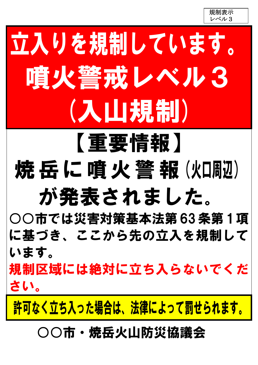規制表示 レベル3

# 立入りを規制しています。 噴火警戒レベル3 (入山規制)

### 【重要情報】 焼岳に噴火警報(火団別) が発表されました。

○○市では災害対策基本法第63条第1項 に基づき、ここから先の立入を規制して います。

規制区域には絶対に立ち入らないでくだ さい。

許可なく立ち入った場合は、法律によって罰せられます。

○○市・焼岳火山防災協議会